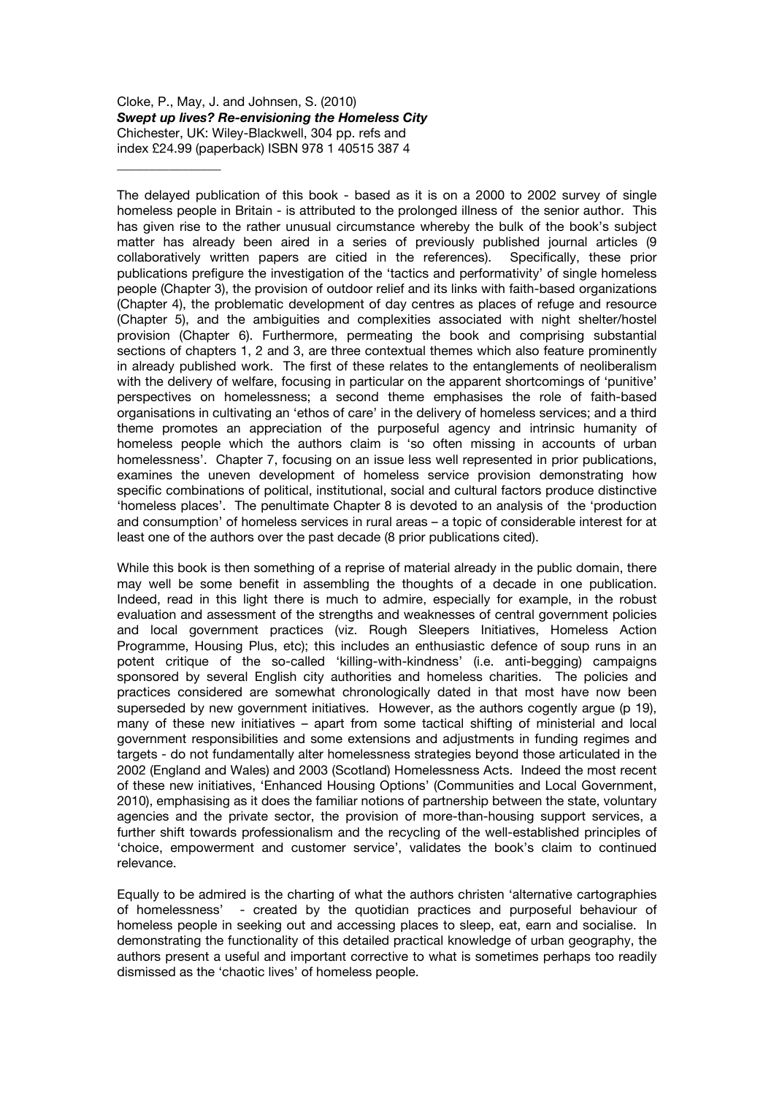# Cloke, P., May, J. and Johnsen, S. (2010) *Swept up lives? Re-envisioning the Homeless City* Chichester, UK: Wiley-Blackwell, 304 pp. refs and index £24.99 (paperback) ISBN 978 1 40515 387 4

\_\_\_\_\_\_\_\_\_\_\_\_\_\_\_\_

The delayed publication of this book - based as it is on a 2000 to 2002 survey of single homeless people in Britain - is attributed to the prolonged illness of the senior author. This has given rise to the rather unusual circumstance whereby the bulk of the book's subject matter has already been aired in a series of previously published journal articles (9 collaboratively written papers are citied in the references). Specifically, these prior publications prefigure the investigation of the 'tactics and performativity' of single homeless people (Chapter 3), the provision of outdoor relief and its links with faith-based organizations (Chapter 4), the problematic development of day centres as places of refuge and resource (Chapter 5), and the ambiguities and complexities associated with night shelter/hostel provision (Chapter 6). Furthermore, permeating the book and comprising substantial sections of chapters 1, 2 and 3, are three contextual themes which also feature prominently in already published work. The first of these relates to the entanglements of neoliberalism with the delivery of welfare, focusing in particular on the apparent shortcomings of 'punitive' perspectives on homelessness; a second theme emphasises the role of faith-based organisations in cultivating an 'ethos of care' in the delivery of homeless services; and a third theme promotes an appreciation of the purposeful agency and intrinsic humanity of homeless people which the authors claim is 'so often missing in accounts of urban homelessness'. Chapter 7, focusing on an issue less well represented in prior publications, examines the uneven development of homeless service provision demonstrating how specific combinations of political, institutional, social and cultural factors produce distinctive 'homeless places'. The penultimate Chapter 8 is devoted to an analysis of the 'production and consumption' of homeless services in rural areas – a topic of considerable interest for at least one of the authors over the past decade (8 prior publications cited).

While this book is then something of a reprise of material already in the public domain, there may well be some benefit in assembling the thoughts of a decade in one publication. Indeed, read in this light there is much to admire, especially for example, in the robust evaluation and assessment of the strengths and weaknesses of central government policies and local government practices (viz. Rough Sleepers Initiatives, Homeless Action Programme, Housing Plus, etc); this includes an enthusiastic defence of soup runs in an potent critique of the so-called 'killing-with-kindness' (i.e. anti-begging) campaigns sponsored by several English city authorities and homeless charities. The policies and practices considered are somewhat chronologically dated in that most have now been superseded by new government initiatives. However, as the authors cogently argue (p 19), many of these new initiatives – apart from some tactical shifting of ministerial and local government responsibilities and some extensions and adjustments in funding regimes and targets - do not fundamentally alter homelessness strategies beyond those articulated in the 2002 (England and Wales) and 2003 (Scotland) Homelessness Acts. Indeed the most recent of these new initiatives, 'Enhanced Housing Options' (Communities and Local Government, 2010), emphasising as it does the familiar notions of partnership between the state, voluntary agencies and the private sector, the provision of more-than-housing support services, a further shift towards professionalism and the recycling of the well-established principles of 'choice, empowerment and customer service', validates the book's claim to continued relevance.

Equally to be admired is the charting of what the authors christen 'alternative cartographies of homelessness' - created by the quotidian practices and purposeful behaviour of homeless people in seeking out and accessing places to sleep, eat, earn and socialise. In demonstrating the functionality of this detailed practical knowledge of urban geography, the authors present a useful and important corrective to what is sometimes perhaps too readily dismissed as the 'chaotic lives' of homeless people.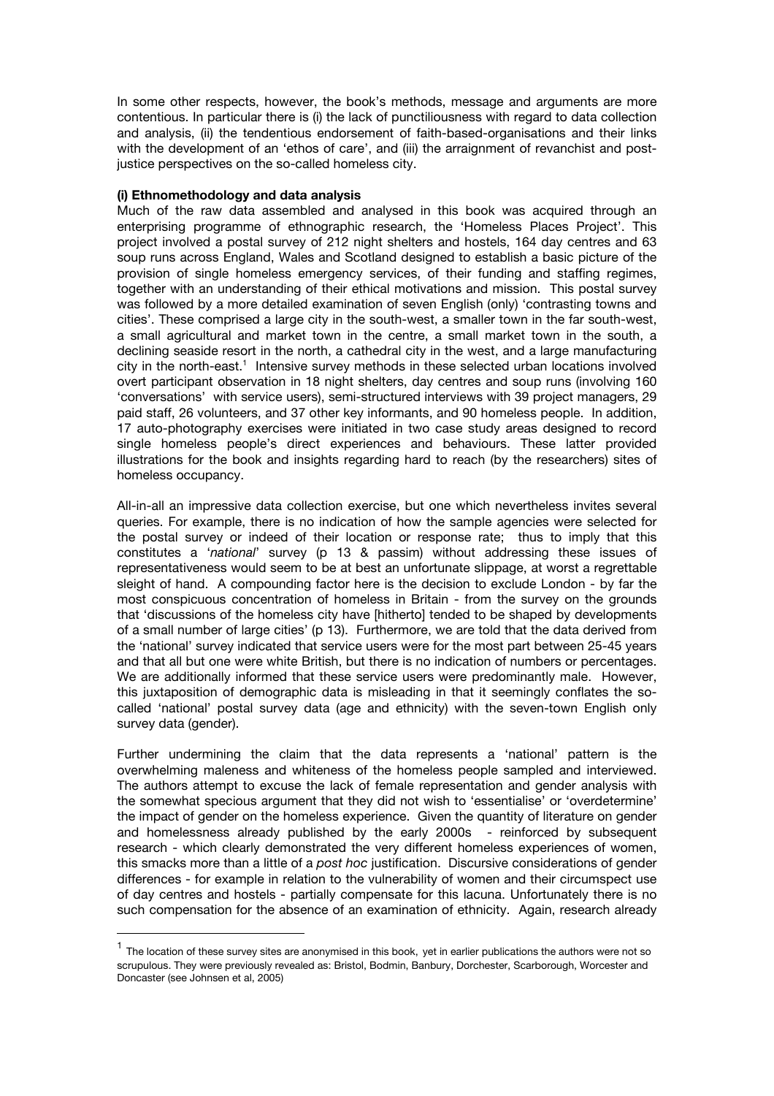In some other respects, however, the book's methods, message and arguments are more contentious. In particular there is (i) the lack of punctiliousness with regard to data collection and analysis, (ii) the tendentious endorsement of faith-based-organisations and their links with the development of an 'ethos of care', and (iii) the arraignment of revanchist and postjustice perspectives on the so-called homeless city.

# **(i) Ethnomethodology and data analysis**

!!!!!!!!!!!!!!!!!!!!!!!!!!!!!!!!!!!!!!!!!!!!!!!!!!!!!!!

Much of the raw data assembled and analysed in this book was acquired through an enterprising programme of ethnographic research, the 'Homeless Places Project'. This project involved a postal survey of 212 night shelters and hostels, 164 day centres and 63 soup runs across England, Wales and Scotland designed to establish a basic picture of the provision of single homeless emergency services, of their funding and staffing regimes, together with an understanding of their ethical motivations and mission. This postal survey was followed by a more detailed examination of seven English (only) 'contrasting towns and cities'. These comprised a large city in the south-west, a smaller town in the far south-west, a small agricultural and market town in the centre, a small market town in the south, a declining seaside resort in the north, a cathedral city in the west, and a large manufacturing city in the north-east.<sup>1</sup> Intensive survey methods in these selected urban locations involved overt participant observation in 18 night shelters, day centres and soup runs (involving 160 'conversations' with service users), semi-structured interviews with 39 project managers, 29 paid staff, 26 volunteers, and 37 other key informants, and 90 homeless people. In addition, 17 auto-photography exercises were initiated in two case study areas designed to record single homeless people's direct experiences and behaviours. These latter provided illustrations for the book and insights regarding hard to reach (by the researchers) sites of homeless occupancy.

All-in-all an impressive data collection exercise, but one which nevertheless invites several queries. For example, there is no indication of how the sample agencies were selected for the postal survey or indeed of their location or response rate; thus to imply that this constitutes a '*national*' survey (p 13 & passim) without addressing these issues of representativeness would seem to be at best an unfortunate slippage, at worst a regrettable sleight of hand. A compounding factor here is the decision to exclude London - by far the most conspicuous concentration of homeless in Britain - from the survey on the grounds that 'discussions of the homeless city have [hitherto] tended to be shaped by developments of a small number of large cities' (p 13). Furthermore, we are told that the data derived from the 'national' survey indicated that service users were for the most part between 25-45 years and that all but one were white British, but there is no indication of numbers or percentages. We are additionally informed that these service users were predominantly male. However, this juxtaposition of demographic data is misleading in that it seemingly conflates the socalled 'national' postal survey data (age and ethnicity) with the seven-town English only survey data (gender).

Further undermining the claim that the data represents a 'national' pattern is the overwhelming maleness and whiteness of the homeless people sampled and interviewed. The authors attempt to excuse the lack of female representation and gender analysis with the somewhat specious argument that they did not wish to 'essentialise' or 'overdetermine' the impact of gender on the homeless experience. Given the quantity of literature on gender and homelessness already published by the early 2000s - reinforced by subsequent research - which clearly demonstrated the very different homeless experiences of women, this smacks more than a little of a *post hoc* justification. Discursive considerations of gender differences - for example in relation to the vulnerability of women and their circumspect use of day centres and hostels - partially compensate for this lacuna. Unfortunately there is no such compensation for the absence of an examination of ethnicity. Again, research already

 $<sup>1</sup>$  The location of these survey sites are anonymised in this book, yet in earlier publications the authors were not so</sup> scrupulous. They were previously revealed as: Bristol, Bodmin, Banbury, Dorchester, Scarborough, Worcester and Doncaster (see Johnsen et al, 2005)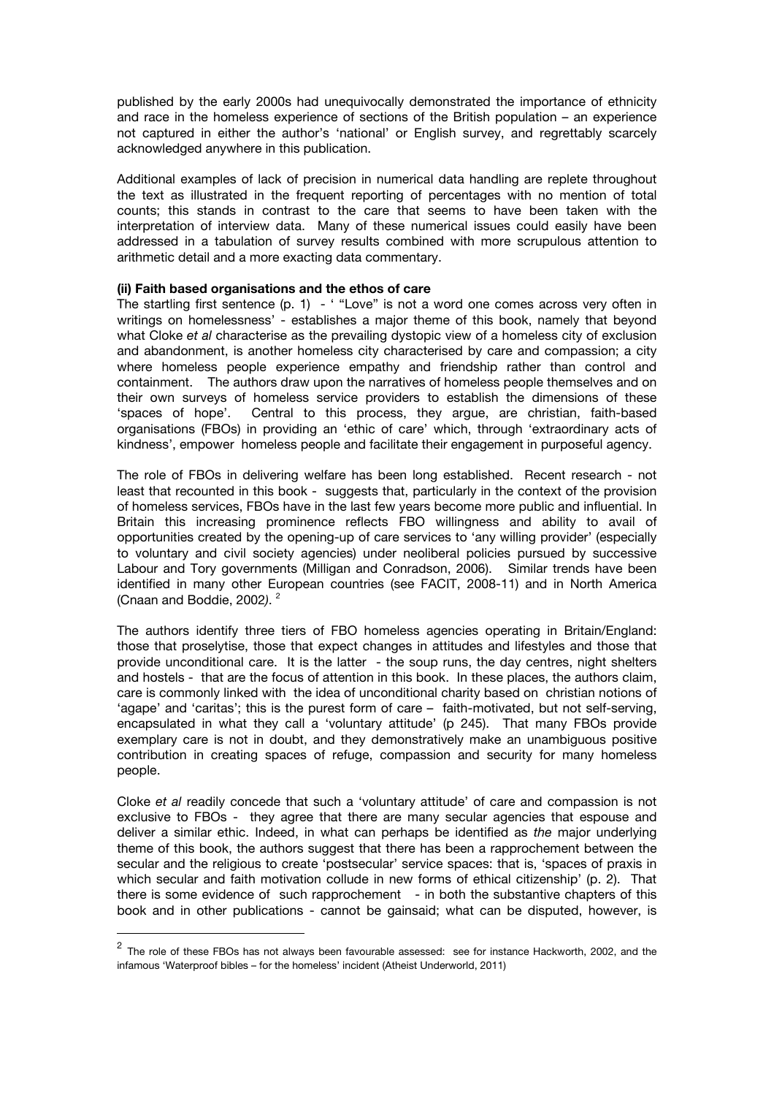published by the early 2000s had unequivocally demonstrated the importance of ethnicity and race in the homeless experience of sections of the British population – an experience not captured in either the author's 'national' or English survey, and regrettably scarcely acknowledged anywhere in this publication.

Additional examples of lack of precision in numerical data handling are replete throughout the text as illustrated in the frequent reporting of percentages with no mention of total counts; this stands in contrast to the care that seems to have been taken with the interpretation of interview data. Many of these numerical issues could easily have been addressed in a tabulation of survey results combined with more scrupulous attention to arithmetic detail and a more exacting data commentary.

### **(ii) Faith based organisations and the ethos of care**

The startling first sentence (p. 1) - "Love" is not a word one comes across very often in writings on homelessness' - establishes a major theme of this book, namely that beyond what Cloke *et al* characterise as the prevailing dystopic view of a homeless city of exclusion and abandonment, is another homeless city characterised by care and compassion; a city where homeless people experience empathy and friendship rather than control and containment. The authors draw upon the narratives of homeless people themselves and on their own surveys of homeless service providers to establish the dimensions of these 'spaces of hope'. Central to this process, they argue, are christian, faith-based organisations (FBOs) in providing an 'ethic of care' which, through 'extraordinary acts of kindness', empower homeless people and facilitate their engagement in purposeful agency.

The role of FBOs in delivering welfare has been long established. Recent research - not least that recounted in this book - suggests that, particularly in the context of the provision of homeless services, FBOs have in the last few years become more public and influential. In Britain this increasing prominence reflects FBO willingness and ability to avail of opportunities created by the opening-up of care services to 'any willing provider' (especially to voluntary and civil society agencies) under neoliberal policies pursued by successive Labour and Tory governments (Milligan and Conradson, 2006). Similar trends have been identified in many other European countries (see FACIT, 2008-11) and in North America (Cnaan and Boddie, 2002*)*. <sup>2</sup>

The authors identify three tiers of FBO homeless agencies operating in Britain/England: those that proselytise, those that expect changes in attitudes and lifestyles and those that provide unconditional care. It is the latter - the soup runs, the day centres, night shelters and hostels - that are the focus of attention in this book. In these places, the authors claim, care is commonly linked with the idea of unconditional charity based on christian notions of 'agape' and 'caritas'; this is the purest form of care – faith-motivated, but not self-serving, encapsulated in what they call a 'voluntary attitude' (p 245). That many FBOs provide exemplary care is not in doubt, and they demonstratively make an unambiguous positive contribution in creating spaces of refuge, compassion and security for many homeless people.

Cloke *et al* readily concede that such a 'voluntary attitude' of care and compassion is not exclusive to FBOs - they agree that there are many secular agencies that espouse and deliver a similar ethic. Indeed, in what can perhaps be identified as *the* major underlying theme of this book, the authors suggest that there has been a rapprochement between the secular and the religious to create 'postsecular' service spaces: that is, 'spaces of praxis in which secular and faith motivation collude in new forms of ethical citizenship' (p. 2). That there is some evidence of such rapprochement - in both the substantive chapters of this book and in other publications - cannot be gainsaid; what can be disputed, however, is

!!!!!!!!!!!!!!!!!!!!!!!!!!!!!!!!!!!!!!!!!!!!!!!!!!!!!!!

<sup>&</sup>lt;sup>2</sup> The role of these FBOs has not always been favourable assessed: see for instance Hackworth, 2002, and the infamous 'Waterproof bibles – for the homeless' incident (Atheist Underworld, 2011)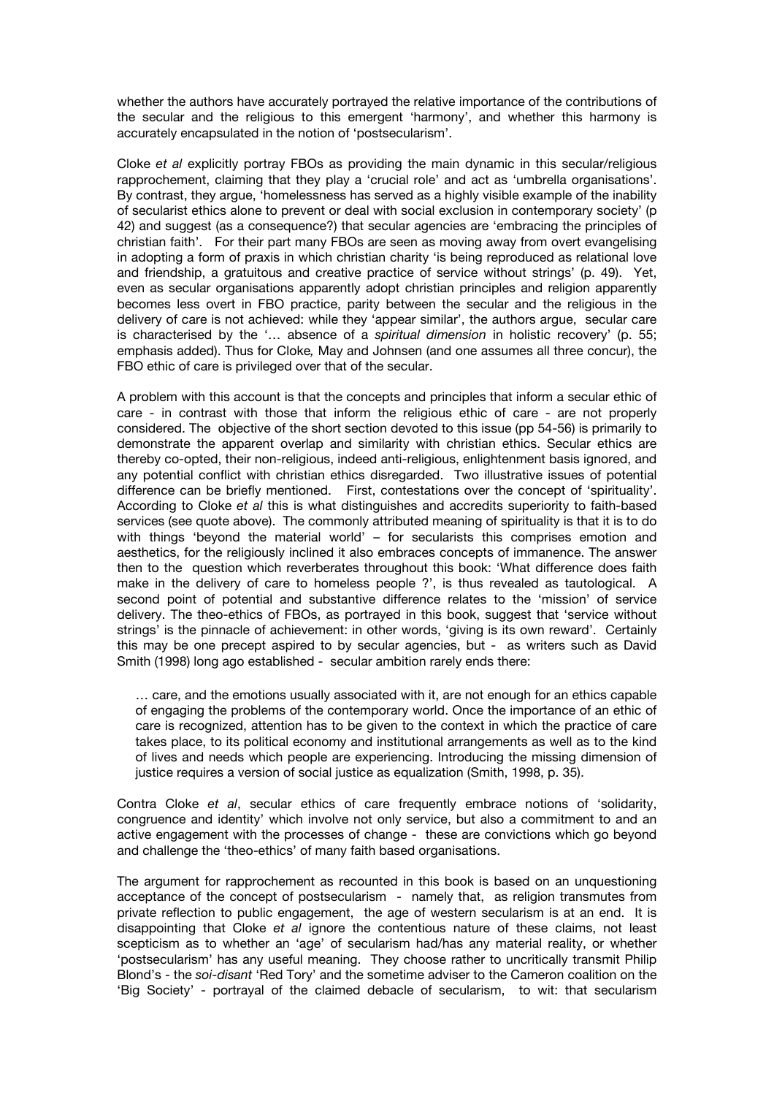whether the authors have accurately portrayed the relative importance of the contributions of the secular and the religious to this emergent 'harmony', and whether this harmony is accurately encapsulated in the notion of 'postsecularism'.

Cloke *et al* explicitly portray FBOs as providing the main dynamic in this secular/religious rapprochement, claiming that they play a 'crucial role' and act as 'umbrella organisations'. By contrast, they argue, 'homelessness has served as a highly visible example of the inability of secularist ethics alone to prevent or deal with social exclusion in contemporary society' (p 42) and suggest (as a consequence?) that secular agencies are 'embracing the principles of christian faith'. For their part many FBOs are seen as moving away from overt evangelising in adopting a form of praxis in which christian charity 'is being reproduced as relational love and friendship, a gratuitous and creative practice of service without strings' (p. 49). Yet, even as secular organisations apparently adopt christian principles and religion apparently becomes less overt in FBO practice, parity between the secular and the religious in the delivery of care is not achieved: while they 'appear similar', the authors argue, secular care is characterised by the '… absence of a *spiritual dimension* in holistic recovery' (p. 55; emphasis added). Thus for Cloke*,* May and Johnsen (and one assumes all three concur), the FBO ethic of care is privileged over that of the secular.

A problem with this account is that the concepts and principles that inform a secular ethic of care - in contrast with those that inform the religious ethic of care - are not properly considered. The objective of the short section devoted to this issue (pp 54-56) is primarily to demonstrate the apparent overlap and similarity with christian ethics. Secular ethics are thereby co-opted, their non-religious, indeed anti-religious, enlightenment basis ignored, and any potential conflict with christian ethics disregarded. Two illustrative issues of potential difference can be briefly mentioned. First, contestations over the concept of 'spirituality'. According to Cloke *et al* this is what distinguishes and accredits superiority to faith-based services (see quote above). The commonly attributed meaning of spirituality is that it is to do with things 'beyond the material world' – for secularists this comprises emotion and aesthetics, for the religiously inclined it also embraces concepts of immanence. The answer then to the question which reverberates throughout this book: 'What difference does faith make in the delivery of care to homeless people ?', is thus revealed as tautological. A second point of potential and substantive difference relates to the 'mission' of service delivery. The theo-ethics of FBOs, as portrayed in this book, suggest that 'service without strings' is the pinnacle of achievement: in other words, 'giving is its own reward'. Certainly this may be one precept aspired to by secular agencies, but - as writers such as David Smith (1998) long ago established - secular ambition rarely ends there:

… care, and the emotions usually associated with it, are not enough for an ethics capable of engaging the problems of the contemporary world. Once the importance of an ethic of care is recognized, attention has to be given to the context in which the practice of care takes place, to its political economy and institutional arrangements as well as to the kind of lives and needs which people are experiencing. Introducing the missing dimension of justice requires a version of social justice as equalization (Smith, 1998, p. 35).

Contra Cloke *et al*, secular ethics of care frequently embrace notions of 'solidarity, congruence and identity' which involve not only service, but also a commitment to and an active engagement with the processes of change - these are convictions which go beyond and challenge the 'theo-ethics' of many faith based organisations.

The argument for rapprochement as recounted in this book is based on an unquestioning acceptance of the concept of postsecularism - namely that, as religion transmutes from private reflection to public engagement, the age of western secularism is at an end. It is disappointing that Cloke *et al* ignore the contentious nature of these claims, not least scepticism as to whether an 'age' of secularism had/has any material reality, or whether 'postsecularism' has any useful meaning. They choose rather to uncritically transmit Philip Blond's - the *soi-disant* 'Red Tory' and the sometime adviser to the Cameron coalition on the 'Big Society' - portrayal of the claimed debacle of secularism, to wit: that secularism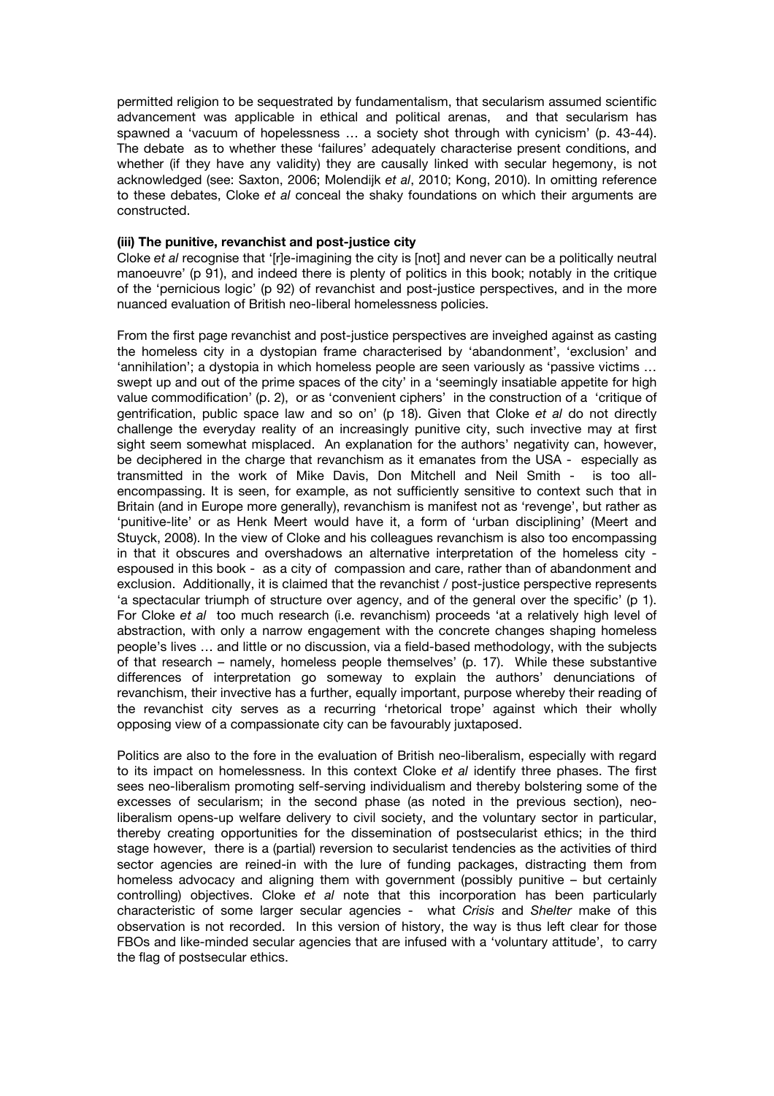permitted religion to be sequestrated by fundamentalism, that secularism assumed scientific advancement was applicable in ethical and political arenas, and that secularism has spawned a 'vacuum of hopelessness … a society shot through with cynicism' (p. 43-44). The debate as to whether these 'failures' adequately characterise present conditions, and whether (if they have any validity) they are causally linked with secular hegemony, is not acknowledged (see: Saxton, 2006; Molendijk *et al*, 2010; Kong, 2010). In omitting reference to these debates, Cloke *et al* conceal the shaky foundations on which their arguments are constructed.

# **(iii) The punitive, revanchist and post-justice city**

Cloke *et al* recognise that '[r]e-imagining the city is [not] and never can be a politically neutral manoeuvre' (p 91), and indeed there is plenty of politics in this book; notably in the critique of the 'pernicious logic' (p 92) of revanchist and post-justice perspectives, and in the more nuanced evaluation of British neo-liberal homelessness policies.

From the first page revanchist and post-justice perspectives are inveighed against as casting the homeless city in a dystopian frame characterised by 'abandonment', 'exclusion' and 'annihilation'; a dystopia in which homeless people are seen variously as 'passive victims … swept up and out of the prime spaces of the city' in a 'seemingly insatiable appetite for high value commodification' (p. 2), or as 'convenient ciphers' in the construction of a 'critique of gentrification, public space law and so on' (p 18). Given that Cloke *et al* do not directly challenge the everyday reality of an increasingly punitive city, such invective may at first sight seem somewhat misplaced. An explanation for the authors' negativity can, however, be deciphered in the charge that revanchism as it emanates from the USA - especially as transmitted in the work of Mike Davis, Don Mitchell and Neil Smith - is too allencompassing. It is seen, for example, as not sufficiently sensitive to context such that in Britain (and in Europe more generally), revanchism is manifest not as 'revenge', but rather as 'punitive-lite' or as Henk Meert would have it, a form of 'urban disciplining' (Meert and Stuyck, 2008). In the view of Cloke and his colleagues revanchism is also too encompassing in that it obscures and overshadows an alternative interpretation of the homeless city espoused in this book - as a city of compassion and care, rather than of abandonment and exclusion. Additionally, it is claimed that the revanchist / post-justice perspective represents 'a spectacular triumph of structure over agency, and of the general over the specific' (p 1). For Cloke *et al* too much research (i.e. revanchism) proceeds 'at a relatively high level of abstraction, with only a narrow engagement with the concrete changes shaping homeless people's lives … and little or no discussion, via a field-based methodology, with the subjects of that research – namely, homeless people themselves' (p. 17). While these substantive differences of interpretation go someway to explain the authors' denunciations of revanchism, their invective has a further, equally important, purpose whereby their reading of the revanchist city serves as a recurring 'rhetorical trope' against which their wholly opposing view of a compassionate city can be favourably juxtaposed.

Politics are also to the fore in the evaluation of British neo-liberalism, especially with regard to its impact on homelessness. In this context Cloke *et al* identify three phases. The first sees neo-liberalism promoting self-serving individualism and thereby bolstering some of the excesses of secularism; in the second phase (as noted in the previous section), neoliberalism opens-up welfare delivery to civil society, and the voluntary sector in particular, thereby creating opportunities for the dissemination of postsecularist ethics; in the third stage however, there is a (partial) reversion to secularist tendencies as the activities of third sector agencies are reined-in with the lure of funding packages, distracting them from homeless advocacy and aligning them with government (possibly punitive – but certainly controlling) objectives. Cloke *et al* note that this incorporation has been particularly characteristic of some larger secular agencies - what *Crisis* and *Shelter* make of this observation is not recorded. In this version of history, the way is thus left clear for those FBOs and like-minded secular agencies that are infused with a 'voluntary attitude', to carry the flag of postsecular ethics.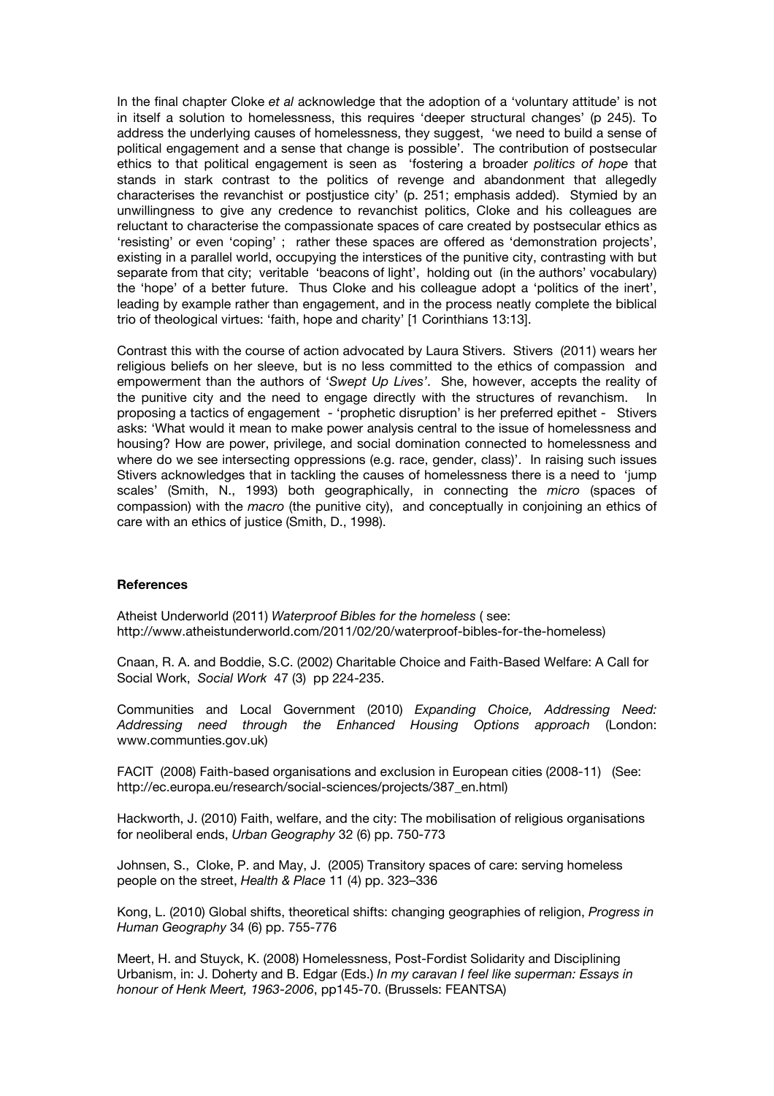In the final chapter Cloke *et al* acknowledge that the adoption of a 'voluntary attitude' is not in itself a solution to homelessness, this requires 'deeper structural changes' (p 245). To address the underlying causes of homelessness, they suggest, 'we need to build a sense of political engagement and a sense that change is possible'. The contribution of postsecular ethics to that political engagement is seen as 'fostering a broader *politics of hope* that stands in stark contrast to the politics of revenge and abandonment that allegedly characterises the revanchist or postjustice city' (p. 251; emphasis added). Stymied by an unwillingness to give any credence to revanchist politics, Cloke and his colleagues are reluctant to characterise the compassionate spaces of care created by postsecular ethics as 'resisting' or even 'coping' ; rather these spaces are offered as 'demonstration projects', existing in a parallel world, occupying the interstices of the punitive city, contrasting with but separate from that city; veritable 'beacons of light', holding out (in the authors' vocabulary) the 'hope' of a better future. Thus Cloke and his colleague adopt a 'politics of the inert', leading by example rather than engagement, and in the process neatly complete the biblical trio of theological virtues: 'faith, hope and charity' [1 Corinthians 13:13].

Contrast this with the course of action advocated by Laura Stivers. Stivers (2011) wears her religious beliefs on her sleeve, but is no less committed to the ethics of compassion and empowerment than the authors of '*Swept Up Lives'*. She, however, accepts the reality of the punitive city and the need to engage directly with the structures of revanchism. In proposing a tactics of engagement - 'prophetic disruption' is her preferred epithet - Stivers asks: 'What would it mean to make power analysis central to the issue of homelessness and housing? How are power, privilege, and social domination connected to homelessness and where do we see intersecting oppressions (e.g. race, gender, class)'. In raising such issues Stivers acknowledges that in tackling the causes of homelessness there is a need to 'jump scales' (Smith, N., 1993) both geographically, in connecting the *micro* (spaces of compassion) with the *macro* (the punitive city), and conceptually in conjoining an ethics of care with an ethics of justice (Smith, D., 1998).

#### **References**

Atheist Underworld (2011) *Waterproof Bibles for the homeless* ( see: http://www.atheistunderworld.com/2011/02/20/waterproof-bibles-for-the-homeless)

Cnaan, R. A. and Boddie, S.C. (2002) Charitable Choice and Faith-Based Welfare: A Call for Social Work, *Social Work* 47 (3) pp 224-235.

Communities and Local Government (2010) *Expanding Choice, Addressing Need: Addressing need through the Enhanced Housing Options approach* (London: www.communties.gov.uk)

FACIT (2008) Faith-based organisations and exclusion in European cities (2008-11) (See: http://ec.europa.eu/research/social-sciences/projects/387\_en.html)

Hackworth, J. (2010) Faith, welfare, and the city: The mobilisation of religious organisations for neoliberal ends, *Urban Geography* 32 (6) pp. 750-773

Johnsen, S., Cloke, P. and May, J. (2005) Transitory spaces of care: serving homeless people on the street, *Health & Place* 11 (4) pp. 323–336

Kong, L. (2010) Global shifts, theoretical shifts: changing geographies of religion, *Progress in Human Geography* 34 (6) pp. 755-776

Meert, H. and Stuyck, K. (2008) Homelessness, Post-Fordist Solidarity and Disciplining Urbanism, in: J. Doherty and B. Edgar (Eds.) *In my caravan I feel like superman: Essays in honour of Henk Meert, 1963-2006*, pp145-70. (Brussels: FEANTSA)